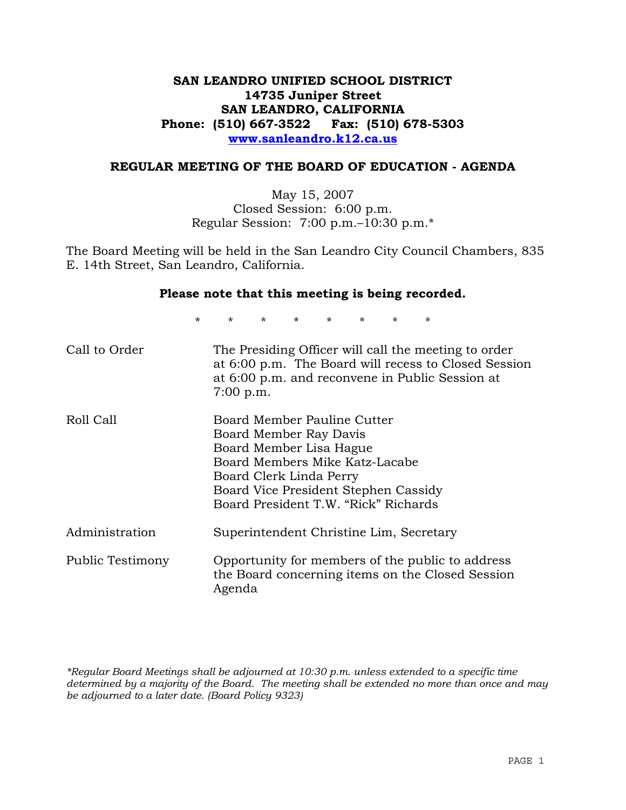## **SAN LEANDRO UNIFIED SCHOOL DISTRICT 14735 Juniper Street SAN LEANDRO, CALIFORNIA Phone: (510) 667-3522 Fax: (510) 678-5303 www.sanleandro.k12.ca.us**

#### **REGULAR MEETING OF THE BOARD OF EDUCATION - AGENDA**

May 15, 2007 Closed Session: 6:00 p.m. Regular Session: 7:00 p.m.–10:30 p.m.\*

The Board Meeting will be held in the San Leandro City Council Chambers, 835 E. 14th Street, San Leandro, California.

#### **Please note that this meeting is being recorded.**

\* \* \* \* \* \* \* \*

| Call to Order           | The Presiding Officer will call the meeting to order<br>at 6:00 p.m. The Board will recess to Closed Session<br>at 6:00 p.m. and reconvene in Public Session at<br>$7:00$ p.m.                                                |
|-------------------------|-------------------------------------------------------------------------------------------------------------------------------------------------------------------------------------------------------------------------------|
| Roll Call               | Board Member Pauline Cutter<br>Board Member Ray Davis<br>Board Member Lisa Hague<br>Board Members Mike Katz-Lacabe<br>Board Clerk Linda Perry<br>Board Vice President Stephen Cassidy<br>Board President T.W. "Rick" Richards |
| Administration          | Superintendent Christine Lim, Secretary                                                                                                                                                                                       |
| <b>Public Testimony</b> | Opportunity for members of the public to address<br>the Board concerning items on the Closed Session<br>Agenda                                                                                                                |

*\*Regular Board Meetings shall be adjourned at 10:30 p.m. unless extended to a specific time determined by a majority of the Board. The meeting shall be extended no more than once and may be adjourned to a later date. (Board Policy 9323)*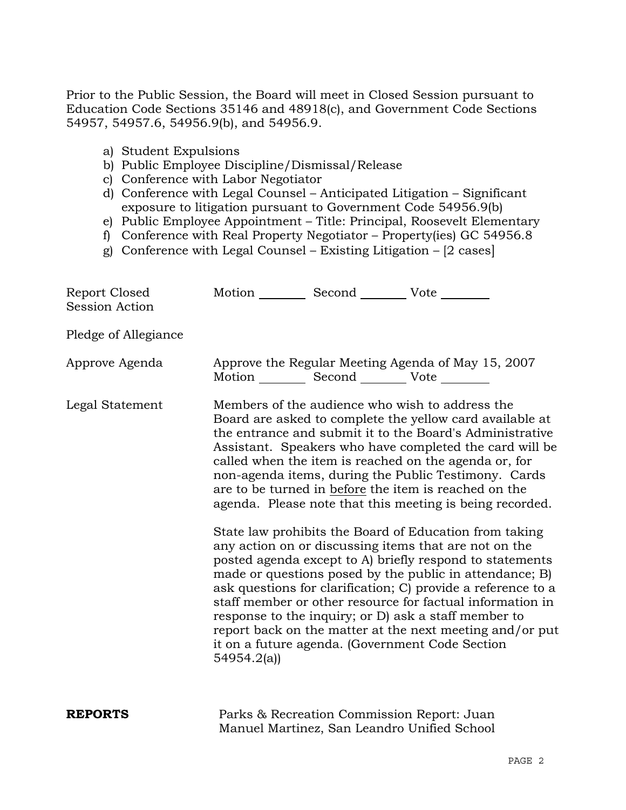Prior to the Public Session, the Board will meet in Closed Session pursuant to Education Code Sections 35146 and 48918(c), and Government Code Sections 54957, 54957.6, 54956.9(b), and 54956.9.

- a) Student Expulsions
- b) Public Employee Discipline/Dismissal/Release
- c) Conference with Labor Negotiator
- d) Conference with Legal Counsel Anticipated Litigation Significant exposure to litigation pursuant to Government Code 54956.9(b)
- e) Public Employee Appointment Title: Principal, Roosevelt Elementary
- f) Conference with Real Property Negotiator Property(ies) GC 54956.8
- g) Conference with Legal Counsel Existing Litigation [2 cases]

| Report Closed<br><b>Session Action</b> | Motion __________ Second __________ Vote ________ |                                                                                                                                                                                                                                                                                                                                                                                                                                                                                                                                            |
|----------------------------------------|---------------------------------------------------|--------------------------------------------------------------------------------------------------------------------------------------------------------------------------------------------------------------------------------------------------------------------------------------------------------------------------------------------------------------------------------------------------------------------------------------------------------------------------------------------------------------------------------------------|
| Pledge of Allegiance                   |                                                   |                                                                                                                                                                                                                                                                                                                                                                                                                                                                                                                                            |
| Approve Agenda                         | Motion __________ Second __________ Vote ________ | Approve the Regular Meeting Agenda of May 15, 2007                                                                                                                                                                                                                                                                                                                                                                                                                                                                                         |
| Legal Statement                        |                                                   | Members of the audience who wish to address the<br>Board are asked to complete the yellow card available at<br>the entrance and submit it to the Board's Administrative<br>Assistant. Speakers who have completed the card will be<br>called when the item is reached on the agenda or, for<br>non-agenda items, during the Public Testimony. Cards<br>are to be turned in before the item is reached on the<br>agenda. Please note that this meeting is being recorded.                                                                   |
|                                        | 54954.2(a)                                        | State law prohibits the Board of Education from taking<br>any action on or discussing items that are not on the<br>posted agenda except to A) briefly respond to statements<br>made or questions posed by the public in attendance; B)<br>ask questions for clarification; C) provide a reference to a<br>staff member or other resource for factual information in<br>response to the inquiry; or D) ask a staff member to<br>report back on the matter at the next meeting and/or put<br>it on a future agenda. (Government Code Section |
| <b>REPORTS</b>                         |                                                   | Parks & Recreation Commission Report: Juan<br>Manuel Martinez, San Leandro Unified School                                                                                                                                                                                                                                                                                                                                                                                                                                                  |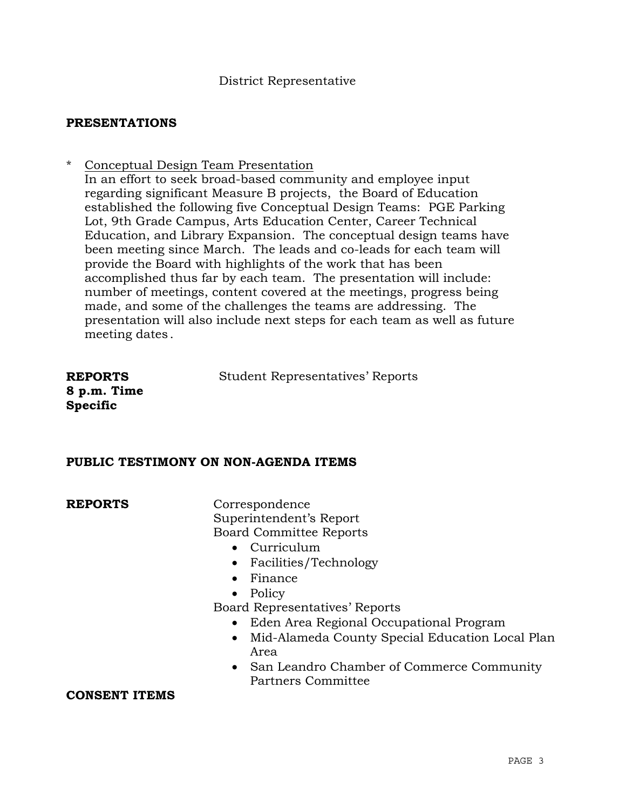## **PRESENTATIONS**

\* Conceptual Design Team Presentation In an effort to seek broad-based community and employee input regarding significant Measure B projects, the Board of Education established the following five Conceptual Design Teams: PGE Parking Lot, 9th Grade Campus, Arts Education Center, Career Technical Education, and Library Expansion. The conceptual design teams have been meeting since March. The leads and co-leads for each team will provide the Board with highlights of the work that has been accomplished thus far by each team. The presentation will include: number of meetings, content covered at the meetings, progress being made, and some of the challenges the teams are addressing. The presentation will also include next steps for each team as well as future meeting dates.

Student Representatives' Reports

**REPORTS 8 p.m. Time Specific** 

## **PUBLIC TESTIMONY ON NON-AGENDA ITEMS**

**REPORTS** Correspondence Superintendent's Report Board Committee Reports

- Curriculum
- Facilities/Technology
- Finance
- Policy

Board Representatives' Reports

- Eden Area Regional Occupational Program
- Mid-Alameda County Special Education Local Plan Area
- San Leandro Chamber of Commerce Community Partners Committee

## **CONSENT ITEMS**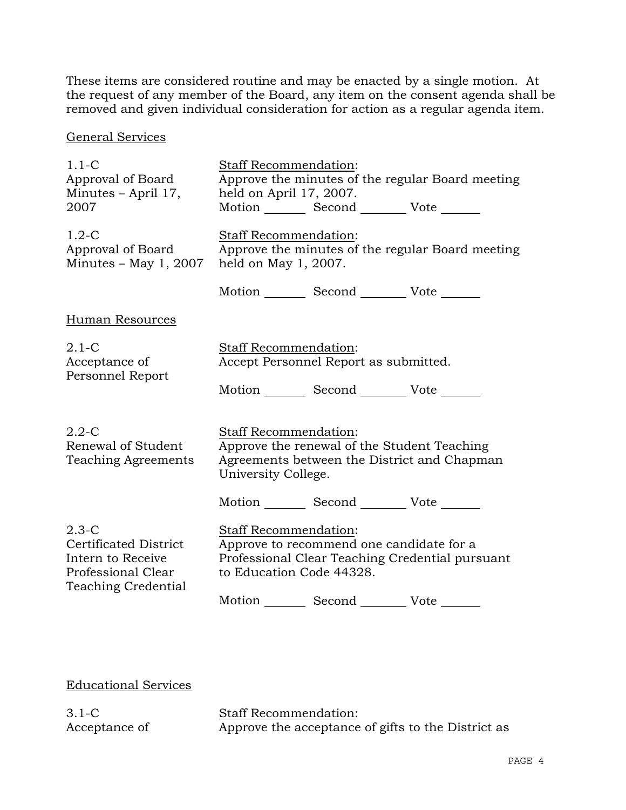These items are considered routine and may be enacted by a single motion. At the request of any member of the Board, any item on the consent agenda shall be removed and given individual consideration for action as a regular agenda item.

General Services

| $1.1 - C$<br>Approval of Board<br>Minutes – April 17,<br>2007                                                      | <b>Staff Recommendation:</b><br>Approve the minutes of the regular Board meeting<br>held on April 17, 2007.<br>Motion _________ Second _________ Vote _______          |
|--------------------------------------------------------------------------------------------------------------------|------------------------------------------------------------------------------------------------------------------------------------------------------------------------|
| $1.2-C$<br>Approval of Board<br>Minutes $-$ May 1, 2007                                                            | Staff Recommendation:<br>Approve the minutes of the regular Board meeting<br>held on May 1, 2007.                                                                      |
|                                                                                                                    | Motion Second Vote ______                                                                                                                                              |
| Human Resources                                                                                                    |                                                                                                                                                                        |
| $2.1-C$<br>Acceptance of<br>Personnel Report                                                                       | Staff Recommendation:<br>Accept Personnel Report as submitted.                                                                                                         |
|                                                                                                                    | Motion Second Vote                                                                                                                                                     |
| $2.2 - C$<br>Renewal of Student<br><b>Teaching Agreements</b>                                                      | Staff Recommendation:<br>Approve the renewal of the Student Teaching<br>Agreements between the District and Chapman<br>University College.                             |
|                                                                                                                    | Motion _________ Second _________ Vote _______                                                                                                                         |
| $2.3 - C$<br><b>Certificated District</b><br>Intern to Receive<br>Professional Clear<br><b>Teaching Credential</b> | Staff Recommendation:<br>Approve to recommend one candidate for a<br>Professional Clear Teaching Credential pursuant<br>to Education Code 44328.<br>Motion Second Vote |

Educational Services

3.1-C Acceptance of

Staff Recommendation: Approve the acceptance of gifts to the District as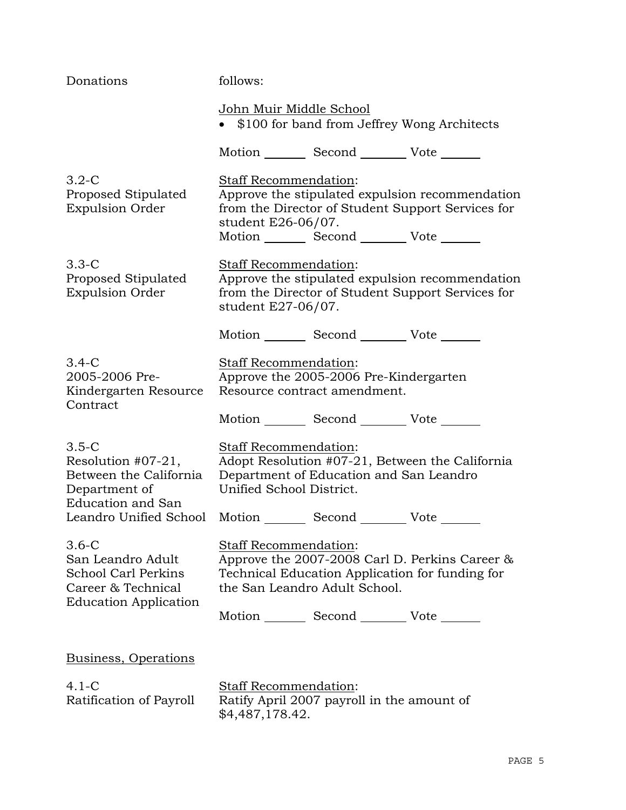| Donations                                                                                                                                                                                | follows:                                                                                        |  |                                                                                                      |
|------------------------------------------------------------------------------------------------------------------------------------------------------------------------------------------|-------------------------------------------------------------------------------------------------|--|------------------------------------------------------------------------------------------------------|
|                                                                                                                                                                                          | John Muir Middle School<br>\$100 for band from Jeffrey Wong Architects                          |  |                                                                                                      |
|                                                                                                                                                                                          | Motion _________ Second __________ Vote _______                                                 |  |                                                                                                      |
| $3.2-C$<br>Proposed Stipulated<br><b>Expulsion Order</b>                                                                                                                                 | Staff Recommendation:<br>student E26-06/07.<br>Motion _________ Second __________ Vote _______  |  | Approve the stipulated expulsion recommendation<br>from the Director of Student Support Services for |
| $3.3 - C$<br>Proposed Stipulated<br><b>Expulsion Order</b>                                                                                                                               | Staff Recommendation:<br>student E27-06/07.                                                     |  | Approve the stipulated expulsion recommendation<br>from the Director of Student Support Services for |
|                                                                                                                                                                                          | Motion _________ Second __________ Vote _______                                                 |  |                                                                                                      |
| $3.4-C$<br>2005-2006 Pre-<br>Kindergarten Resource<br>Contract                                                                                                                           | Staff Recommendation:<br>Approve the 2005-2006 Pre-Kindergarten<br>Resource contract amendment. |  |                                                                                                      |
|                                                                                                                                                                                          | Motion _________ Second ___________ Vote _______                                                |  |                                                                                                      |
| $3.5-C$<br>Resolution #07-21,<br>Between the California<br>Department of<br><b>Education and San</b>                                                                                     | Staff Recommendation:<br>Department of Education and San Leandro<br>Unified School District.    |  | Adopt Resolution #07-21, Between the California                                                      |
| Leandro Unified School Motion _________ Second _________ Vote ______<br>$3.6-C$<br>San Leandro Adult<br><b>School Carl Perkins</b><br>Career & Technical<br><b>Education Application</b> | Staff Recommendation:<br>the San Leandro Adult School.                                          |  | Approve the 2007-2008 Carl D. Perkins Career &<br>Technical Education Application for funding for    |
|                                                                                                                                                                                          | Motion Second Vote                                                                              |  |                                                                                                      |
| Business, Operations                                                                                                                                                                     |                                                                                                 |  |                                                                                                      |
| $4.1 - C$<br>Ratification of Payroll                                                                                                                                                     | Staff Recommendation:<br>Ratify April 2007 payroll in the amount of<br>\$4,487,178.42.          |  |                                                                                                      |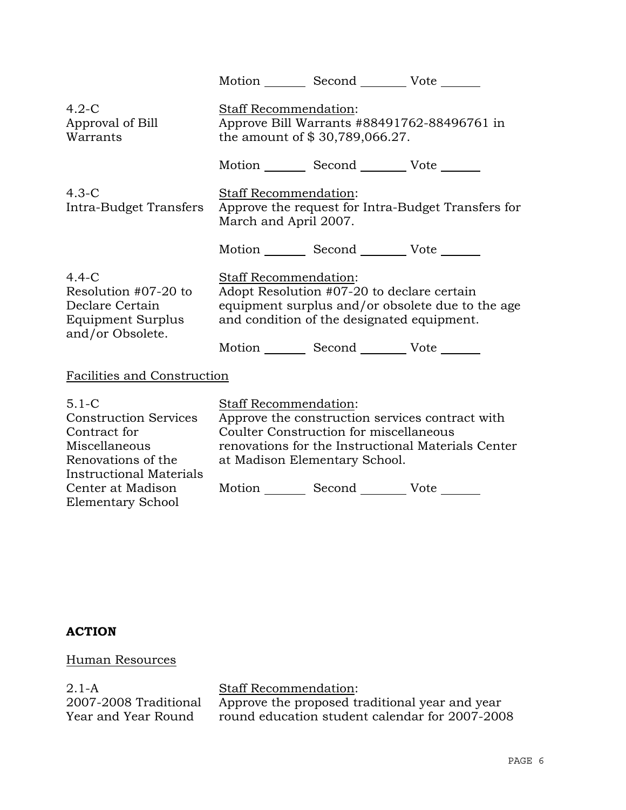|                                                                                                                                                                                     | Motion Second Vote ______                                                                                                                                                                                                       |
|-------------------------------------------------------------------------------------------------------------------------------------------------------------------------------------|---------------------------------------------------------------------------------------------------------------------------------------------------------------------------------------------------------------------------------|
| $4.2-C$<br>Approval of Bill<br>Warrants                                                                                                                                             | <b>Staff Recommendation:</b><br>Approve Bill Warrants #88491762-88496761 in<br>the amount of \$30,789,066.27.                                                                                                                   |
|                                                                                                                                                                                     | Motion _________ Second __________ Vote _______                                                                                                                                                                                 |
| $4.3-C$<br>Intra-Budget Transfers                                                                                                                                                   | Staff Recommendation:<br>Approve the request for Intra-Budget Transfers for<br>March and April 2007.                                                                                                                            |
|                                                                                                                                                                                     | Motion _________ Second __________ Vote _______                                                                                                                                                                                 |
| $4.4-C$<br>Resolution #07-20 to<br>Declare Certain<br>Equipment Surplus<br>and/or Obsolete.                                                                                         | Staff Recommendation:<br>Adopt Resolution #07-20 to declare certain<br>equipment surplus and/or obsolete due to the age<br>and condition of the designated equipment.                                                           |
|                                                                                                                                                                                     | Motion _________ Second __________ Vote _______                                                                                                                                                                                 |
| Facilities and Construction                                                                                                                                                         |                                                                                                                                                                                                                                 |
| $5.1 - C$<br><b>Construction Services</b><br>Contract for<br>Miscellaneous<br>Renovations of the<br><b>Instructional Materials</b><br>Center at Madison<br><b>Elementary School</b> | Staff Recommendation:<br>Approve the construction services contract with<br>Coulter Construction for miscellaneous<br>renovations for the Instructional Materials Center<br>at Madison Elementary School.<br>Motion Second Vote |

# **ACTION**

# Human Resources

2.1-A 2007-2008 Traditional Year and Year Round

Staff Recommendation: Approve the proposed traditional year and year round education student calendar for 2007-2008